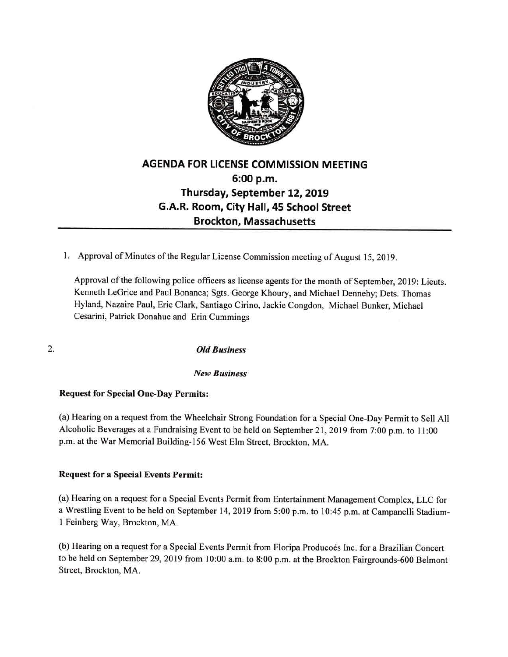

## AGENDA FOR LICENSE COMMISSION MEETING 6:00 p.m. Thursday, September 12, 2019 G.A.R. Room, City Hall, 45 School Street Brockton, Massachusetts

1. Approval of Minutes of the Regular License Commission meeting of August 15, 2019.

Approval of the following police officers as license agents for the month of September, 2019: Lieuts. Kenneth LeGrice and Paul Bonanca; Sgts. George Khoury, and Michael Dennehy; Dets. Thomas Hyland, Nazaire Paul, Eric Clark, Santiago Cirino, Jackie Congdon, Michael Bunker, Michael Cesarini, Patrick Donahue and Erin Cummings

2. Old Business

## New Business

## Request for Special One-Day Permits:

(a) Hearing on a request from the Wheelchair Strong Foundation for a Special One-Day Permit to Sell All Alcoholic Beverages at <sup>a</sup> Fundraising Event to be held on September 21, 2019 from 7:00 p.m. to <sup>11</sup> :00 p.m. at the War Memorial Building-156 West Elm Street, Brockton, MA.

## Request for a Special Events Permit:

(a) Hearing on a request for a Special Events Permit from Entertainment Management Complex, LLC for <sup>a</sup> Wrestling Event to be held on September 14, 2019 from 5:00 p.m. to 10:45 p.m. at Campanelli Stadium- <sup>I</sup> Feinberg Way, Brockton, MA.

(b) Hearing on a request for a Special Events Permit from Floripa Producoés Inc. for a Brazilian Concert to be held on September 29, 2019 from 10:00 a.m. to 8:00 p.m. at the Brockton Fairgrounds-600 Belmont Street, Brockton, MA.